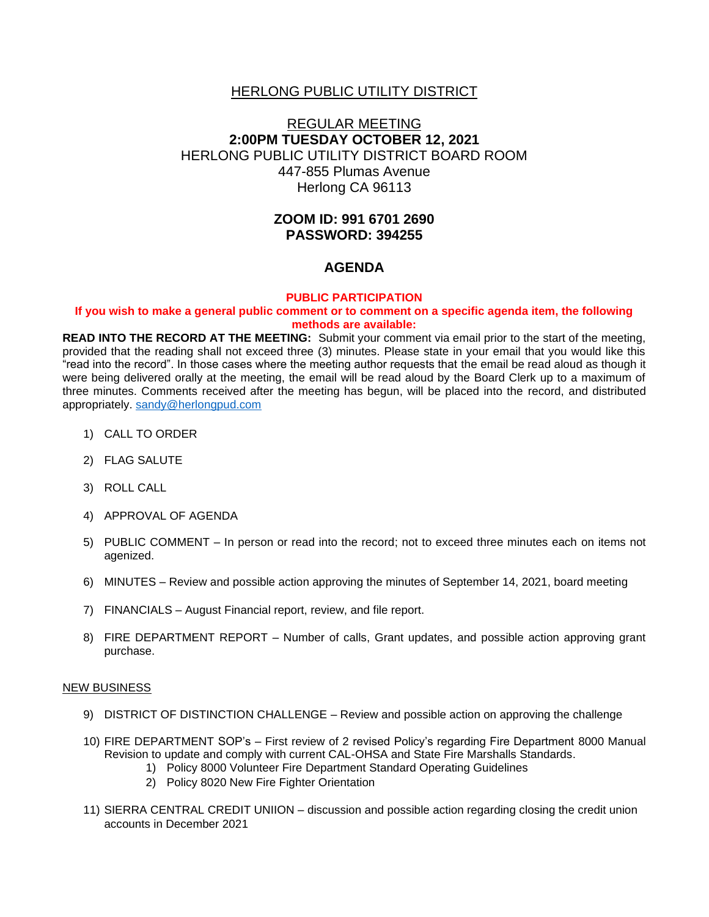# HERLONG PUBLIC UTILITY DISTRICT

# REGULAR MEETING **2:00PM TUESDAY OCTOBER 12, 2021** HERLONG PUBLIC UTILITY DISTRICT BOARD ROOM 447-855 Plumas Avenue Herlong CA 96113

# **ZOOM ID: 991 6701 2690 PASSWORD: 394255**

## **AGENDA**

#### **PUBLIC PARTICIPATION**

#### **If you wish to make a general public comment or to comment on a specific agenda item, the following methods are available:**

**READ INTO THE RECORD AT THE MEETING:** Submit your comment via email prior to the start of the meeting, provided that the reading shall not exceed three (3) minutes. Please state in your email that you would like this "read into the record". In those cases where the meeting author requests that the email be read aloud as though it were being delivered orally at the meeting, the email will be read aloud by the Board Clerk up to a maximum of three minutes. Comments received after the meeting has begun, will be placed into the record, and distributed appropriately. [sandy@herlongpud.com](mailto:sandy@herlongpud.com)

- 1) CALL TO ORDER
- 2) FLAG SALUTE
- 3) ROLL CALL
- 4) APPROVAL OF AGENDA
- 5) PUBLIC COMMENT In person or read into the record; not to exceed three minutes each on items not agenized.
- 6) MINUTES Review and possible action approving the minutes of September 14, 2021, board meeting
- 7) FINANCIALS August Financial report, review, and file report.
- 8) FIRE DEPARTMENT REPORT Number of calls, Grant updates, and possible action approving grant purchase.

#### NEW BUSINESS

- 9) DISTRICT OF DISTINCTION CHALLENGE Review and possible action on approving the challenge
- 10) FIRE DEPARTMENT SOP's First review of 2 revised Policy's regarding Fire Department 8000 Manual Revision to update and comply with current CAL-OHSA and State Fire Marshalls Standards.
	- 1) Policy 8000 Volunteer Fire Department Standard Operating Guidelines
	- 2) Policy 8020 New Fire Fighter Orientation
- 11) SIERRA CENTRAL CREDIT UNIION discussion and possible action regarding closing the credit union accounts in December 2021